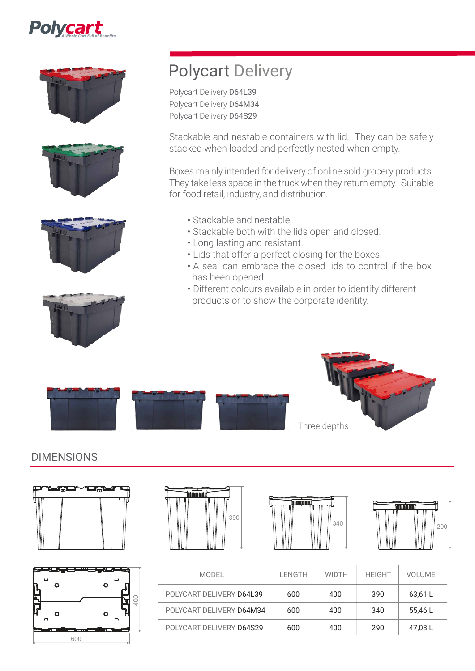









# Polycart Delivery

Polycart Delivery D64L39 Polycart Delivery D64M34 Polycart Delivery D64S29

Stackable and nestable containers with lid. They can be safely stacked when loaded and perfectly nested when empty.

Boxes mainly intended for delivery of online sold grocery products. They take less space in the truck when they return empty. Suitable for food retail, industry, and distribution.

- Stackable and nestable.
- Stackable both with the lids open and closed.
- Long lasting and resistant.
- Lids that offer a perfect closing for the boxes.
- A seal can embrace the closed lids to control if the box has been opened.
- Different colours available in order to identify different products or to show the corporate identity.





## DIMENSIONS





| <b>TANAHAN DENGAN DENGAN DENGAN DENGAN DENGAN DENGAN DENGAN DENGAN DENGAN DENGAN DENGAN DENGAN DENGAN DENGAN DENG</b> |     |
|-----------------------------------------------------------------------------------------------------------------------|-----|
|                                                                                                                       | 390 |





| MODEL                    | <b>LENGTH</b> | <b>WIDTH</b> | <b>HEIGHT</b> | <b>VOLUME</b> |
|--------------------------|---------------|--------------|---------------|---------------|
| POLYCART DELIVERY D64L39 | 600           | 400          | 390           | 63,61 L       |
| POLYCART DELIVERY D64M34 | 600           | 400          | 340           | 55.46 L       |
| POLYCART DELIVERY D64S29 | 600           | 400          | 290           | 47,08 L       |